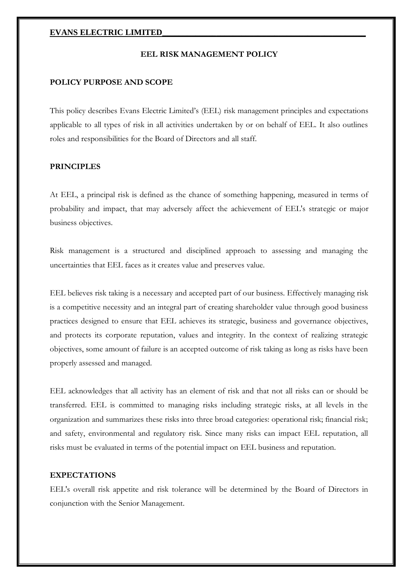## **EVANS ELECTRIC LIMITED\_\_\_\_\_\_\_\_\_\_\_\_\_\_\_\_\_\_\_\_\_\_\_\_\_\_\_\_\_\_\_\_\_\_\_\_\_\_\_\_\_\_\_\_\_\_\_\_\_**

#### **EEL RISK MANAGEMENT POLICY**

#### **POLICY PURPOSE AND SCOPE**

This policy describes Evans Electric Limited's (EEL) risk management principles and expectations applicable to all types of risk in all activities undertaken by or on behalf of EEL. It also outlines roles and responsibilities for the Board of Directors and all staff.

## **PRINCIPLES**

At EEL, a principal risk is defined as the chance of something happening, measured in terms of probability and impact, that may adversely affect the achievement of EEL's strategic or major business objectives.

Risk management is a structured and disciplined approach to assessing and managing the uncertainties that EEL faces as it creates value and preserves value.

EEL believes risk taking is a necessary and accepted part of our business. Effectively managing risk is a competitive necessity and an integral part of creating shareholder value through good business practices designed to ensure that EEL achieves its strategic, business and governance objectives, and protects its corporate reputation, values and integrity. In the context of realizing strategic objectives, some amount of failure is an accepted outcome of risk taking as long as risks have been properly assessed and managed.

EEL acknowledges that all activity has an element of risk and that not all risks can or should be transferred. EEL is committed to managing risks including strategic risks, at all levels in the organization and summarizes these risks into three broad categories: operational risk; financial risk; and safety, environmental and regulatory risk. Since many risks can impact EEL reputation, all risks must be evaluated in terms of the potential impact on EEL business and reputation.

### **EXPECTATIONS**

EEL's overall risk appetite and risk tolerance will be determined by the Board of Directors in conjunction with the Senior Management.